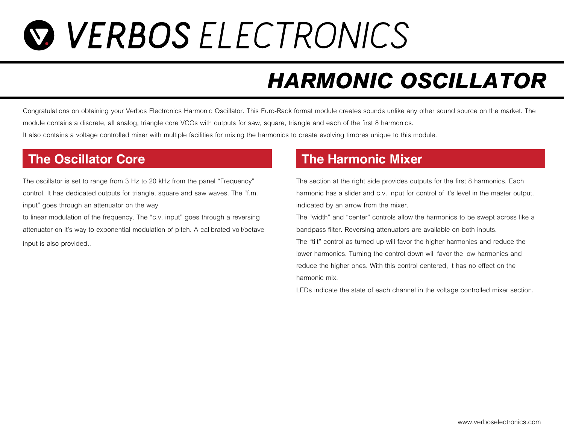## **WERBOS ELECTRONICS**

## *HARMONIC OSCILLATOR*

Congratulations on obtaining your Verbos Electronics Harmonic Oscillator. This Euro-Rack format module creates sounds unlike any other sound source on the market. The *module contains a discrete, all analog, triangle core VCOs with outputs for saw, square, triangle and each of the first 8 harmonics. It also contains a voltage controlled mixer with multiple facilities for mixing the harmonics to create evolving timbres unique to this module.*

*The oscillator is set to range from 3 Hz to 20 kHz from the panel "Frequency" control. It has dedicated outputs for triangle, square and saw waves. The "f.m. input" goes through an attenuator on the way*

*to linear modulation of the frequency. The "c.v. input" goes through a reversing attenuator on it's way to exponential modulation of pitch. A calibrated volt/octave input is also provided..*

### **The Oscillator Core The Harmonic Mixer**

*The section at the right side provides outputs for the first 8 harmonics. Each harmonic has a slider and c.v. input for control of it's level in the master output. indicated by an arrow from the mixer.*

*The "width" and "center" controls allow the harmonics to be swept across like a bandpass filter. Reversing attenuators are available on both inputs.*

*The "tilt" control as turned up will favor the higher harmonics and reduce the lower harmonics. Turning the control down will favor the low harmonics and reduce the higher ones. With this control centered, it has no effect on the harmonic mix.*

*LEDs indicate the state of each channel in the voltage controlled mixer section.*